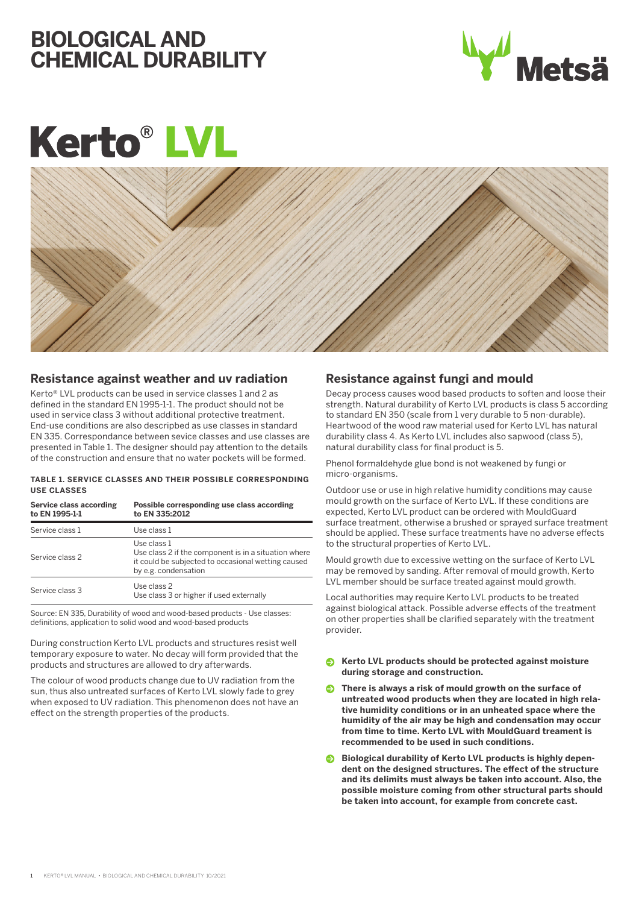# **BIOLOGICAL AND CHEMICAL DURABILITY**



# **Kerto®LV**



### **Resistance against weather and uv radiation**

Kerto® LVL products can be used in service classes 1 and 2 as defined in the standard EN 1995-1-1. The product should not be used in service class 3 without additional protective treatment. End-use conditions are also descripbed as use classes in standard EN 335. Correspondance between sevice classes and use classes are presented in Table 1. The designer should pay attention to the details of the construction and ensure that no water pockets will be formed.

#### **TABLE 1. SERVICE CLASSES AND THEIR POSSIBLE CORRESPONDING USE CLASSES**

| <b>Service class according</b><br>to EN 1995-1-1 | Possible corresponding use class according<br>to EN 335:2012                                                                                      |
|--------------------------------------------------|---------------------------------------------------------------------------------------------------------------------------------------------------|
| Service class 1                                  | Use class 1                                                                                                                                       |
| Service class 2                                  | Use class 1<br>Use class 2 if the component is in a situation where<br>it could be subjected to occasional wetting caused<br>by e.g. condensation |
| Service class 3                                  | Use class 2<br>Use class 3 or higher if used externally                                                                                           |

Source: EN 335, Durability of wood and wood-based products - Use classes: definitions, application to solid wood and wood-based products

During construction Kerto LVL products and structures resist well temporary exposure to water. No decay will form provided that the products and structures are allowed to dry afterwards.

The colour of wood products change due to UV radiation from the sun, thus also untreated surfaces of Kerto LVL slowly fade to grey when exposed to UV radiation. This phenomenon does not have an effect on the strength properties of the products.

## **Resistance against fungi and mould**

Decay process causes wood based products to soften and loose their strength. Natural durability of Kerto LVL products is class 5 according to standard EN 350 (scale from 1 very durable to 5 non-durable). Heartwood of the wood raw material used for Kerto LVL has natural durability class 4. As Kerto LVL includes also sapwood (class 5), natural durability class for final product is 5.

Phenol formaldehyde glue bond is not weakened by fungi or micro-organisms.

Outdoor use or use in high relative humidity conditions may cause mould growth on the surface of Kerto LVL. If these conditions are expected, Kerto LVL product can be ordered with MouldGuard surface treatment, otherwise a brushed or sprayed surface treatment should be applied. These surface treatments have no adverse effects to the structural properties of Kerto LVL.

Mould growth due to excessive wetting on the surface of Kerto LVL may be removed by sanding. After removal of mould growth, Kerto LVL member should be surface treated against mould growth.

Local authorities may require Kerto LVL products to be treated against biological attack. Possible adverse effects of the treatment on other properties shall be clarified separately with the treatment provider.

- **Kerto LVL products should be protected against moisture during storage and construction.**
- **C** There is always a risk of mould growth on the surface of **untreated wood products when they are located in high relative humidity conditions or in an unheated space where the humidity of the air may be high and condensation may occur from time to time. Kerto LVL with MouldGuard treament is recommended to be used in such conditions.**
- **Biological durability of Kerto LVL products is highly dependent on the designed structures. The effect of the structure and its delimits must always be taken into account. Also, the possible moisture coming from other structural parts should be taken into account, for example from concrete cast.**